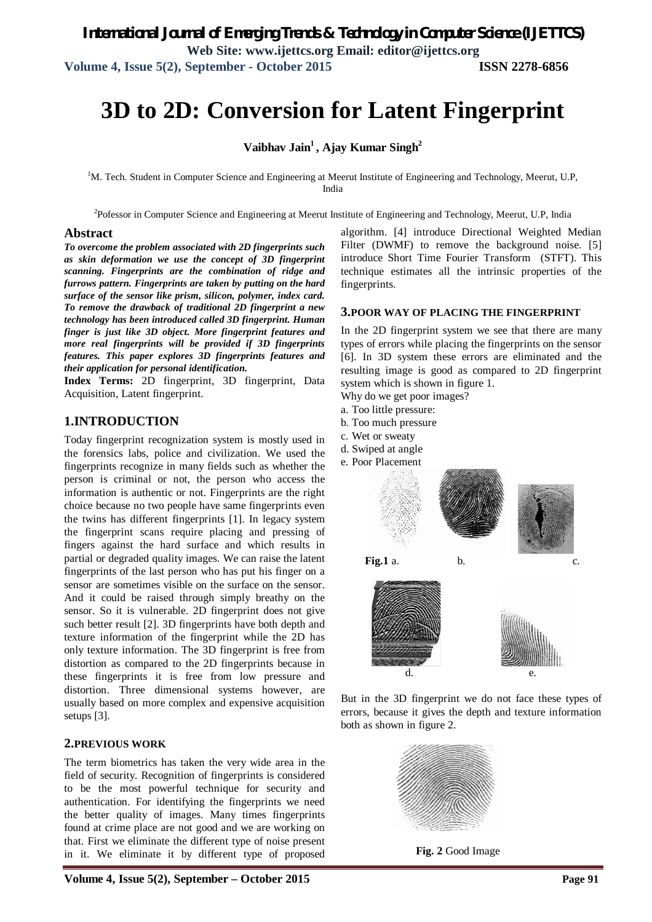# **3D to 2D: Conversion for Latent Fingerprint**

**Vaibhav Jain<sup>1</sup> , Ajay Kumar Singh<sup>2</sup>**

<sup>1</sup>M. Tech. Student in Computer Science and Engineering at Meerut Institute of Engineering and Technology, Meerut, U.P, India

<sup>2</sup>Pofessor in Computer Science and Engineering at Meerut Institute of Engineering and Technology, Meerut, U.P, India

#### **Abstract**

*To overcome the problem associated with 2D fingerprints such as skin deformation we use the concept of 3D fingerprint scanning. Fingerprints are the combination of ridge and furrows pattern. Fingerprints are taken by putting on the hard surface of the sensor like prism, silicon, polymer, index card. To remove the drawback of traditional 2D fingerprint a new technology has been introduced called 3D fingerprint. Human finger is just like 3D object. More fingerprint features and more real fingerprints will be provided if 3D fingerprints features. This paper explores 3D fingerprints features and their application for personal identification.*

**Index Terms:** 2D fingerprint, 3D fingerprint, Data Acquisition, Latent fingerprint.

#### **1.INTRODUCTION**

Today fingerprint recognization system is mostly used in the forensics labs, police and civilization. We used the fingerprints recognize in many fields such as whether the person is criminal or not, the person who access the information is authentic or not. Fingerprints are the right choice because no two people have same fingerprints even the twins has different fingerprints [1]. In legacy system the fingerprint scans require placing and pressing of fingers against the hard surface and which results in partial or degraded quality images. We can raise the latent fingerprints of the last person who has put his finger on a sensor are sometimes visible on the surface on the sensor. And it could be raised through simply breathy on the sensor. So it is vulnerable. 2D fingerprint does not give such better result [2]. 3D fingerprints have both depth and texture information of the fingerprint while the 2D has only texture information. The 3D fingerprint is free from distortion as compared to the 2D fingerprints because in these fingerprints it is free from low pressure and distortion. Three dimensional systems however, are usually based on more complex and expensive acquisition setups [3].

#### **2.PREVIOUS WORK**

The term biometrics has taken the very wide area in the field of security. Recognition of fingerprints is considered to be the most powerful technique for security and authentication. For identifying the fingerprints we need the better quality of images. Many times fingerprints found at crime place are not good and we are working on that. First we eliminate the different type of noise present in it. We eliminate it by different type of proposed

algorithm. [4] introduce Directional Weighted Median Filter (DWMF) to remove the background noise. [5] introduce Short Time Fourier Transform (STFT). This technique estimates all the intrinsic properties of the fingerprints.

#### **3.POOR WAY OF PLACING THE FINGERPRINT**

In the 2D fingerprint system we see that there are many types of errors while placing the fingerprints on the sensor [6]. In 3D system these errors are eliminated and the resulting image is good as compared to 2D fingerprint system which is shown in figure 1.

Why do we get poor images?

- a. Too little pressure:
- b. Too much pressure
- c. Wet or sweaty
- d. Swiped at angle
- e. Poor Placement



But in the 3D fingerprint we do not face these types of errors, because it gives the depth and texture information both as shown in figure 2.



**Fig. 2** Good Image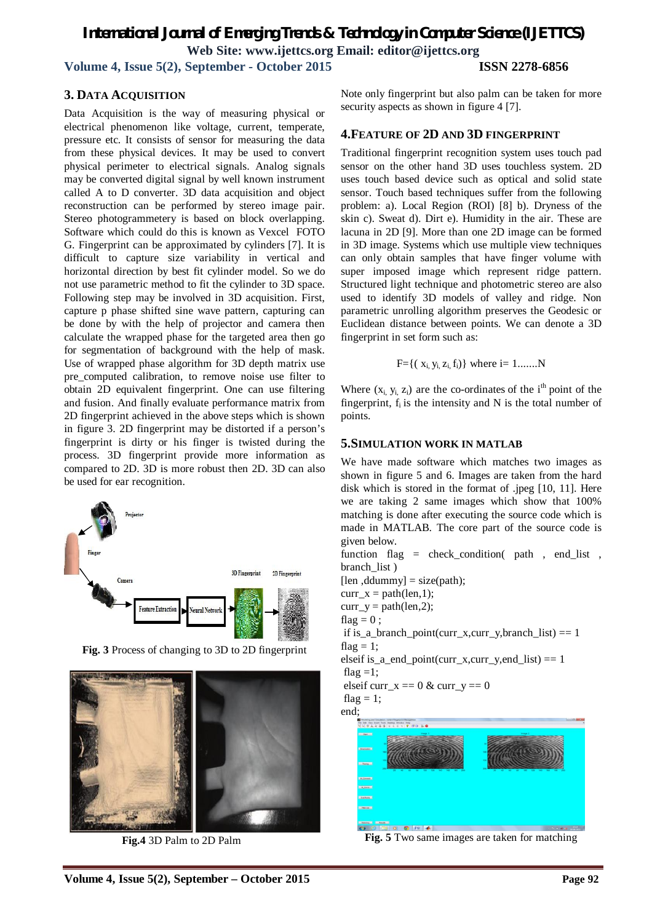*International Journal of Emerging Trends & Technology in Computer Science (IJETTCS)* **Web Site: www.ijettcs.org Email: editor@ijettcs.org** 

**Volume 4, Issue 5(2), September - October 2015 ISSN 2278-6856**

#### **3. DATA ACQUISITION**

Data Acquisition is the way of measuring physical or electrical phenomenon like voltage, current, temperate, pressure etc. It consists of sensor for measuring the data from these physical devices. It may be used to convert physical perimeter to electrical signals. Analog signals may be converted digital signal by well known instrument called A to D converter. 3D data acquisition and object reconstruction can be performed by stereo image pair. Stereo photogrammetery is based on block overlapping. Software which could do this is known as Vexcel FOTO G. Fingerprint can be approximated by cylinders [7]. It is difficult to capture size variability in vertical and horizontal direction by best fit cylinder model. So we do not use parametric method to fit the cylinder to 3D space. Following step may be involved in 3D acquisition. First, capture p phase shifted sine wave pattern, capturing can be done by with the help of projector and camera then calculate the wrapped phase for the targeted area then go for segmentation of background with the help of mask. Use of wrapped phase algorithm for 3D depth matrix use pre\_computed calibration, to remove noise use filter to obtain 2D equivalent fingerprint. One can use filtering and fusion. And finally evaluate performance matrix from 2D fingerprint achieved in the above steps which is shown in figure 3. 2D fingerprint may be distorted if a person's fingerprint is dirty or his finger is twisted during the process. 3D fingerprint provide more information as compared to 2D. 3D is more robust then 2D. 3D can also be used for ear recognition.



**Fig. 3** Process of changing to 3D to 2D fingerprint



**Fig.4** 3D Palm to 2D Palm

Note only fingerprint but also palm can be taken for more security aspects as shown in figure 4 [7].

#### **4.FEATURE OF 2D AND 3D FINGERPRINT**

Traditional fingerprint recognition system uses touch pad sensor on the other hand 3D uses touchless system. 2D uses touch based device such as optical and solid state sensor. Touch based techniques suffer from the following problem: a). Local Region (ROI) [8] b). Dryness of the skin c). Sweat d). Dirt e). Humidity in the air. These are lacuna in 2D [9]. More than one 2D image can be formed in 3D image. Systems which use multiple view techniques can only obtain samples that have finger volume with super imposed image which represent ridge pattern. Structured light technique and photometric stereo are also used to identify 3D models of valley and ridge. Non parametric unrolling algorithm preserves the Geodesic or Euclidean distance between points. We can denote a 3D fingerprint in set form such as:

$$
F = \{ (x_i, y_i, z_i, f_i) \}
$$
 where  $i = 1, \ldots, N$ 

Where  $(x_i, y_i, z_i)$  are the co-ordinates of the i<sup>th</sup> point of the fingerprint,  $f_i$  is the intensity and N is the total number of points.

#### **5.SIMULATION WORK IN MATLAB**

We have made software which matches two images as shown in figure 5 and 6. Images are taken from the hard disk which is stored in the format of .jpeg [10, 11]. Here we are taking 2 same images which show that 100% matching is done after executing the source code which is made in MATLAB. The core part of the source code is given below.

function flag = check condition( path , end list, branch\_list )  $[len, ddummy] = size(path);$ curr  $x = path(len,1);$ curr  $y = path(len,2);$ flag =  $0$  :

if is a branch point(curr x,curr y,branch list)  $= 1$ flag = 1:

elseif is\_a\_end\_point(curr\_x,curr\_y,end\_list)  $== 1$ flag  $=1$ :

```
elseif curr x == 0 & curr y == 0
```

$$
flag = 1;
$$



**Fig. 5** Two same images are taken for matching